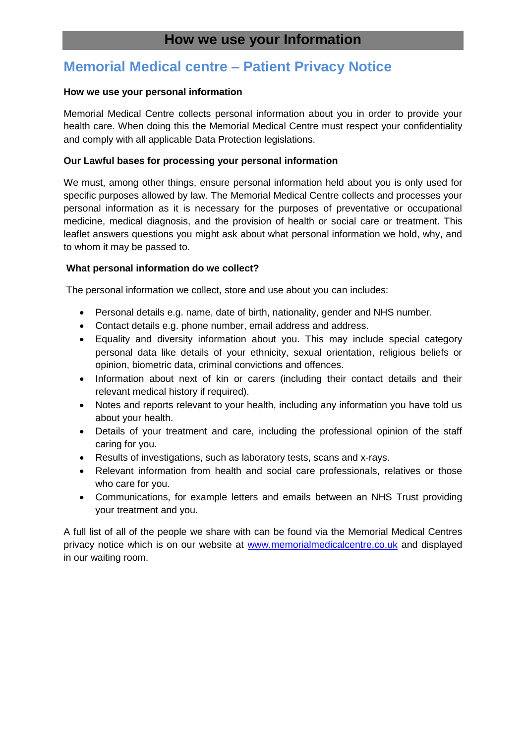# **Memorial Medical centre – Patient Privacy Notice**

## **How we use your personal information**

Memorial Medical Centre collects personal information about you in order to provide your health care. When doing this the Memorial Medical Centre must respect your confidentiality and comply with all applicable Data Protection legislations.

# **Our Lawful bases for processing your personal information**

We must, among other things, ensure personal information held about you is only used for specific purposes allowed by law. The Memorial Medical Centre collects and processes your personal information as it is necessary for the purposes of preventative or occupational medicine, medical diagnosis, and the provision of health or social care or treatment. This leaflet answers questions you might ask about what personal information we hold, why, and to whom it may be passed to.

# **What personal information do we collect?**

The personal information we collect, store and use about you can includes:

- Personal details e.g. name, date of birth, nationality, gender and NHS number.
- Contact details e.g. phone number, email address and address.
- Equality and diversity information about you. This may include special category personal data like details of your ethnicity, sexual orientation, religious beliefs or opinion, biometric data, criminal convictions and offences.
- Information about next of kin or carers (including their contact details and their relevant medical history if required).
- Notes and reports relevant to your health, including any information you have told us about your health.
- Details of your treatment and care, including the professional opinion of the staff caring for you.
- Results of investigations, such as laboratory tests, scans and x-rays.
- Relevant information from health and social care professionals, relatives or those who care for you.
- Communications, for example letters and emails between an NHS Trust providing your treatment and you.

A full list of all of the people we share with can be found via the Memorial Medical Centres privacy notice which is on our website at [www.memorialmedicalcentre.co.uk](http://www.memorialmedicalcentre.co.uk/) and displayed in our waiting room.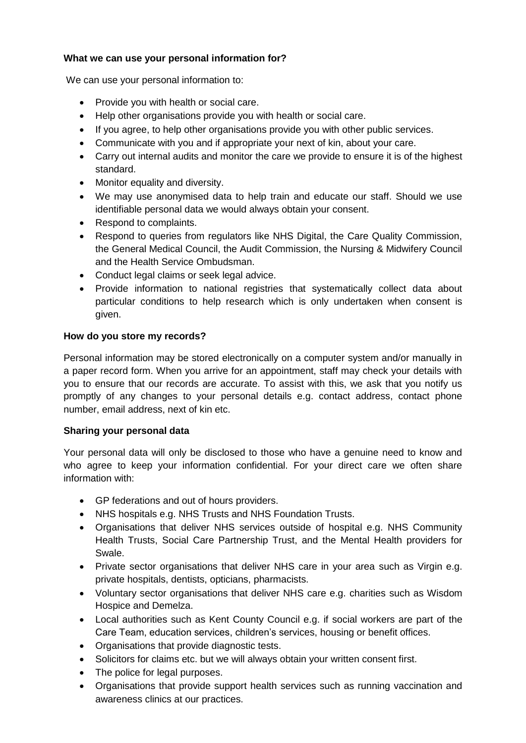# **What we can use your personal information for?**

We can use your personal information to:

- Provide you with health or social care.
- Help other organisations provide you with health or social care.
- If you agree, to help other organisations provide you with other public services.
- Communicate with you and if appropriate your next of kin, about your care.
- Carry out internal audits and monitor the care we provide to ensure it is of the highest standard.
- Monitor equality and diversity.
- We may use anonymised data to help train and educate our staff. Should we use identifiable personal data we would always obtain your consent.
- Respond to complaints.
- Respond to queries from regulators like NHS Digital, the Care Quality Commission, the General Medical Council, the Audit Commission, the Nursing & Midwifery Council and the Health Service Ombudsman.
- Conduct legal claims or seek legal advice.
- Provide information to national registries that systematically collect data about particular conditions to help research which is only undertaken when consent is given.

#### **How do you store my records?**

Personal information may be stored electronically on a computer system and/or manually in a paper record form. When you arrive for an appointment, staff may check your details with you to ensure that our records are accurate. To assist with this, we ask that you notify us promptly of any changes to your personal details e.g. contact address, contact phone number, email address, next of kin etc.

#### **Sharing your personal data**

Your personal data will only be disclosed to those who have a genuine need to know and who agree to keep your information confidential. For your direct care we often share information with:

- GP federations and out of hours providers.
- NHS hospitals e.g. NHS Trusts and NHS Foundation Trusts.
- Organisations that deliver NHS services outside of hospital e.g. NHS Community Health Trusts, Social Care Partnership Trust, and the Mental Health providers for Swale.
- Private sector organisations that deliver NHS care in your area such as Virgin e.g. private hospitals, dentists, opticians, pharmacists.
- Voluntary sector organisations that deliver NHS care e.g. charities such as Wisdom Hospice and Demelza.
- Local authorities such as Kent County Council e.g. if social workers are part of the Care Team, education services, children's services, housing or benefit offices.
- Organisations that provide diagnostic tests.
- Solicitors for claims etc. but we will always obtain your written consent first.
- The police for legal purposes.
- Organisations that provide support health services such as running vaccination and awareness clinics at our practices.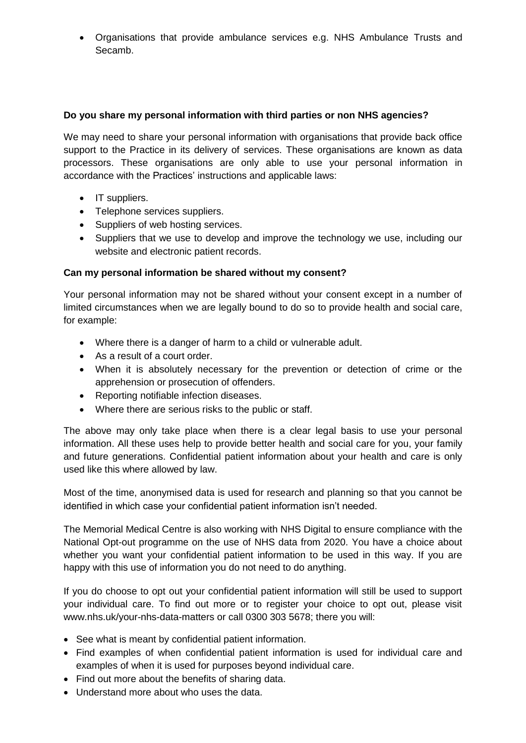Organisations that provide ambulance services e.g. NHS Ambulance Trusts and Secamb.

# **Do you share my personal information with third parties or non NHS agencies?**

We may need to share your personal information with organisations that provide back office support to the Practice in its delivery of services. These organisations are known as data processors. These organisations are only able to use your personal information in accordance with the Practices' instructions and applicable laws:

- IT suppliers.
- Telephone services suppliers.
- Suppliers of web hosting services.
- Suppliers that we use to develop and improve the technology we use, including our website and electronic patient records.

# **Can my personal information be shared without my consent?**

Your personal information may not be shared without your consent except in a number of limited circumstances when we are legally bound to do so to provide health and social care, for example:

- Where there is a danger of harm to a child or vulnerable adult.
- As a result of a court order.
- When it is absolutely necessary for the prevention or detection of crime or the apprehension or prosecution of offenders.
- Reporting notifiable infection diseases.
- Where there are serious risks to the public or staff.

The above may only take place when there is a clear legal basis to use your personal information. All these uses help to provide better health and social care for you, your family and future generations. Confidential patient information about your health and care is only used like this where allowed by law.

Most of the time, anonymised data is used for research and planning so that you cannot be identified in which case your confidential patient information isn't needed.

The Memorial Medical Centre is also working with NHS Digital to ensure compliance with the National Opt-out programme on the use of NHS data from 2020. You have a choice about whether you want your confidential patient information to be used in this way. If you are happy with this use of information you do not need to do anything.

If you do choose to opt out your confidential patient information will still be used to support your individual care. To find out more or to register your choice to opt out, please visit [www.nhs.uk/your-nhs-data-matters](http://www.nhs.uk/your-nhs-data-matters) or call 0300 303 5678; there you will:

- See what is meant by confidential patient information.
- Find examples of when confidential patient information is used for individual care and examples of when it is used for purposes beyond individual care.
- Find out more about the benefits of sharing data.
- Understand more about who uses the data.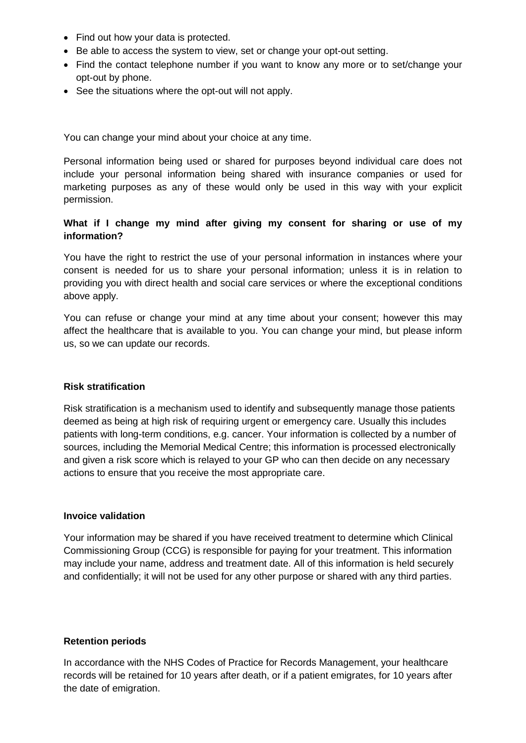- Find out how your data is protected.
- Be able to access the system to view, set or change your opt-out setting.
- Find the contact telephone number if you want to know any more or to set/change your opt-out by phone.
- See the situations where the opt-out will not apply.

You can change your mind about your choice at any time.

Personal information being used or shared for purposes beyond individual care does not include your personal information being shared with insurance companies or used for marketing purposes as any of these would only be used in this way with your explicit permission.

# **What if I change my mind after giving my consent for sharing or use of my information?**

You have the right to restrict the use of your personal information in instances where your consent is needed for us to share your personal information; unless it is in relation to providing you with direct health and social care services or where the exceptional conditions above apply.

You can refuse or change your mind at any time about your consent; however this may affect the healthcare that is available to you. You can change your mind, but please inform us, so we can update our records.

#### **Risk stratification**

Risk stratification is a mechanism used to identify and subsequently manage those patients deemed as being at high risk of requiring urgent or emergency care. Usually this includes patients with long-term conditions, e.g. cancer. Your information is collected by a number of sources, including the Memorial Medical Centre; this information is processed electronically and given a risk score which is relayed to your GP who can then decide on any necessary actions to ensure that you receive the most appropriate care.

#### **Invoice validation**

Your information may be shared if you have received treatment to determine which Clinical Commissioning Group (CCG) is responsible for paying for your treatment. This information may include your name, address and treatment date. All of this information is held securely and confidentially; it will not be used for any other purpose or shared with any third parties.

#### **Retention periods**

In accordance with the NHS Codes of Practice for Records Management, your healthcare records will be retained for 10 years after death, or if a patient emigrates, for 10 years after the date of emigration.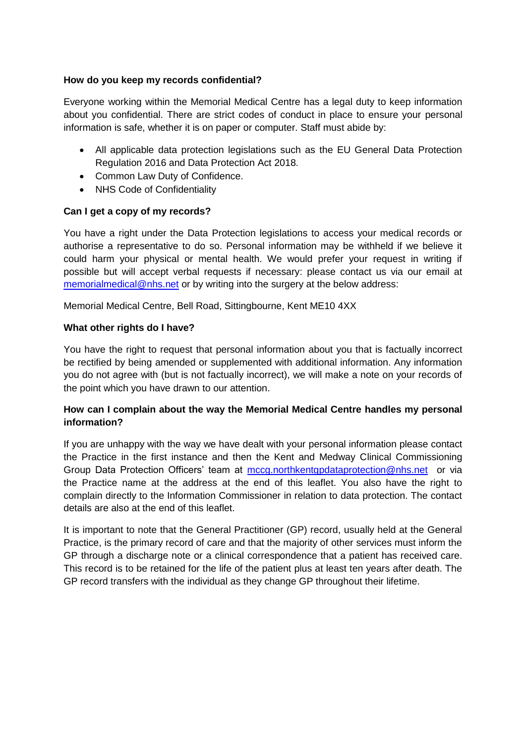## **How do you keep my records confidential?**

Everyone working within the Memorial Medical Centre has a legal duty to keep information about you confidential. There are strict codes of conduct in place to ensure your personal information is safe, whether it is on paper or computer. Staff must abide by:

- All applicable data protection legislations such as the EU General Data Protection Regulation 2016 and Data Protection Act 2018.
- Common Law Duty of Confidence.
- NHS Code of Confidentiality

# **Can I get a copy of my records?**

You have a right under the Data Protection legislations to access your medical records or authorise a representative to do so. Personal information may be withheld if we believe it could harm your physical or mental health. We would prefer your request in writing if possible but will accept verbal requests if necessary: please contact us via our email at [memorialmedical@nhs.net](mailto:memorialmedical@nhs.net) or by writing into the surgery at the below address:

Memorial Medical Centre, Bell Road, Sittingbourne, Kent ME10 4XX

# **What other rights do I have?**

You have the right to request that personal information about you that is factually incorrect be rectified by being amended or supplemented with additional information. Any information you do not agree with (but is not factually incorrect), we will make a note on your records of the point which you have drawn to our attention.

# **How can I complain about the way the Memorial Medical Centre handles my personal information?**

If you are unhappy with the way we have dealt with your personal information please contact the Practice in the first instance and then the Kent and Medway Clinical Commissioning Group Data Protection Officers' team at [mccg.northkentgpdataprotection@nhs.net](mailto:mccg.northkentgpdataprotection@nhs.net) or via the Practice name at the address at the end of this leaflet. You also have the right to complain directly to the Information Commissioner in relation to data protection. The contact details are also at the end of this leaflet.

It is important to note that the General Practitioner (GP) record, usually held at the General Practice, is the primary record of care and that the majority of other services must inform the GP through a discharge note or a clinical correspondence that a patient has received care. This record is to be retained for the life of the patient plus at least ten years after death. The GP record transfers with the individual as they change GP throughout their lifetime.